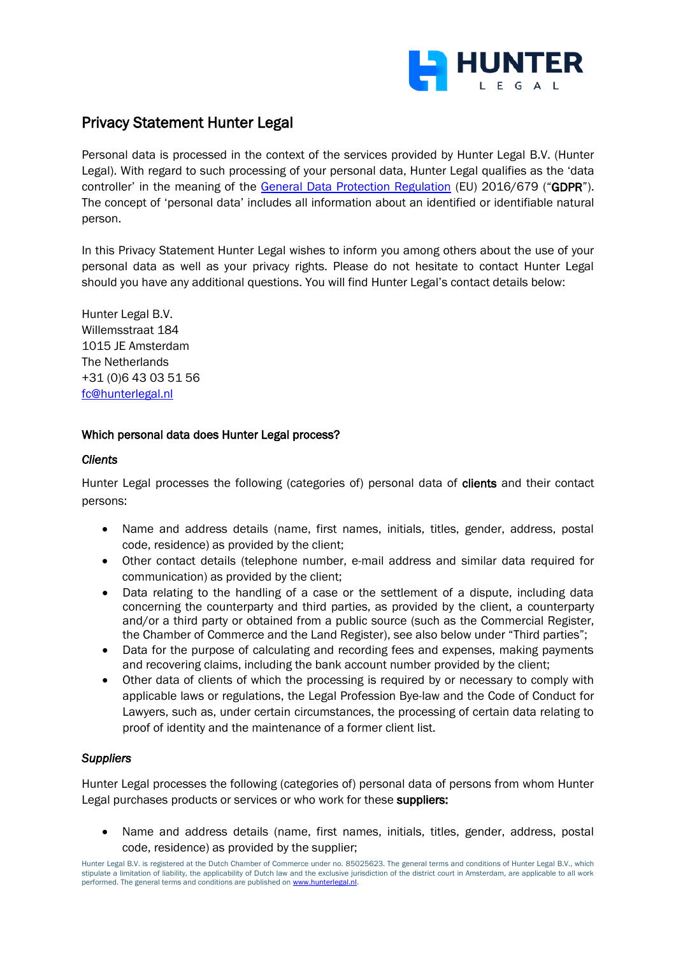

# Privacy Statement Hunter Legal

Personal data is processed in the context of the services provided by Hunter Legal B.V. (Hunter Legal). With regard to such processing of your personal data, Hunter Legal qualifies as the 'data controller' in the meaning of the [General Data Protection Regulation](https://eur-lex.europa.eu/legal-content/EN/TXT/HTML/?uri=CELEX:32016R0679&from=EN) (EU) 2016/679 ("GDPR"). The concept of 'personal data' includes all information about an identified or identifiable natural person.

In this Privacy Statement Hunter Legal wishes to inform you among others about the use of your personal data as well as your privacy rights. Please do not hesitate to contact Hunter Legal should you have any additional questions. You will find Hunter Legal's contact details below:

Hunter Legal B.V. Willemsstraat 184 1015 JE Amsterdam The Netherlands +31 (0)6 43 03 51 56 [fc@hunterlegal.nl](mailto:fc@hunterlegal.nl)

## Which personal data does Hunter Legal process?

#### *Clients*

Hunter Legal processes the following (categories of) personal data of clients and their contact persons:

- Name and address details (name, first names, initials, titles, gender, address, postal code, residence) as provided by the client;
- Other contact details (telephone number, e-mail address and similar data required for communication) as provided by the client;
- Data relating to the handling of a case or the settlement of a dispute, including data concerning the counterparty and third parties, as provided by the client, a counterparty and/or a third party or obtained from a public source (such as the Commercial Register, the Chamber of Commerce and the Land Register), see also below under "Third parties";
- Data for the purpose of calculating and recording fees and expenses, making payments and recovering claims, including the bank account number provided by the client;
- Other data of clients of which the processing is required by or necessary to comply with applicable laws or regulations, the Legal Profession Bye-law and the Code of Conduct for Lawyers, such as, under certain circumstances, the processing of certain data relating to proof of identity and the maintenance of a former client list.

# *Suppliers*

Hunter Legal processes the following (categories of) personal data of persons from whom Hunter Legal purchases products or services or who work for these suppliers:

• Name and address details (name, first names, initials, titles, gender, address, postal code, residence) as provided by the supplier;

Hunter Legal B.V. is registered at the Dutch Chamber of Commerce under no. 85025623. The general terms and conditions of Hunter Legal B.V., which stipulate a limitation of liability, the applicability of Dutch law and the exclusive jurisdiction of the district court in Amsterdam, are applicable to all work performed. The general terms and conditions are published on www.hunterlegal.nl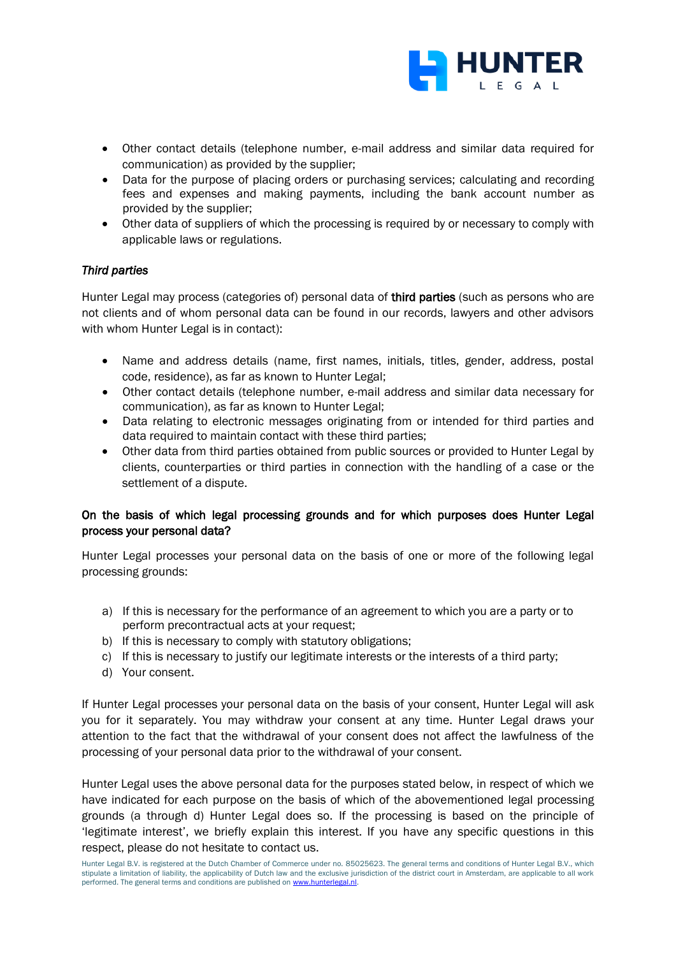

- Other contact details (telephone number, e-mail address and similar data required for communication) as provided by the supplier;
- Data for the purpose of placing orders or purchasing services; calculating and recording fees and expenses and making payments, including the bank account number as provided by the supplier;
- Other data of suppliers of which the processing is required by or necessary to comply with applicable laws or regulations.

## *Third parties*

Hunter Legal may process (categories of) personal data of third parties (such as persons who are not clients and of whom personal data can be found in our records, lawyers and other advisors with whom Hunter Legal is in contact):

- Name and address details (name, first names, initials, titles, gender, address, postal code, residence), as far as known to Hunter Legal;
- Other contact details (telephone number, e-mail address and similar data necessary for communication), as far as known to Hunter Legal;
- Data relating to electronic messages originating from or intended for third parties and data required to maintain contact with these third parties;
- Other data from third parties obtained from public sources or provided to Hunter Legal by clients, counterparties or third parties in connection with the handling of a case or the settlement of a dispute.

# On the basis of which legal processing grounds and for which purposes does Hunter Legal process your personal data?

Hunter Legal processes your personal data on the basis of one or more of the following legal processing grounds:

- a) If this is necessary for the performance of an agreement to which you are a party or to perform precontractual acts at your request;
- b) If this is necessary to comply with statutory obligations;
- c) If this is necessary to justify our legitimate interests or the interests of a third party;
- d) Your consent.

If Hunter Legal processes your personal data on the basis of your consent, Hunter Legal will ask you for it separately. You may withdraw your consent at any time. Hunter Legal draws your attention to the fact that the withdrawal of your consent does not affect the lawfulness of the processing of your personal data prior to the withdrawal of your consent.

Hunter Legal uses the above personal data for the purposes stated below, in respect of which we have indicated for each purpose on the basis of which of the abovementioned legal processing grounds (a through d) Hunter Legal does so. If the processing is based on the principle of 'legitimate interest', we briefly explain this interest. If you have any specific questions in this respect, please do not hesitate to contact us.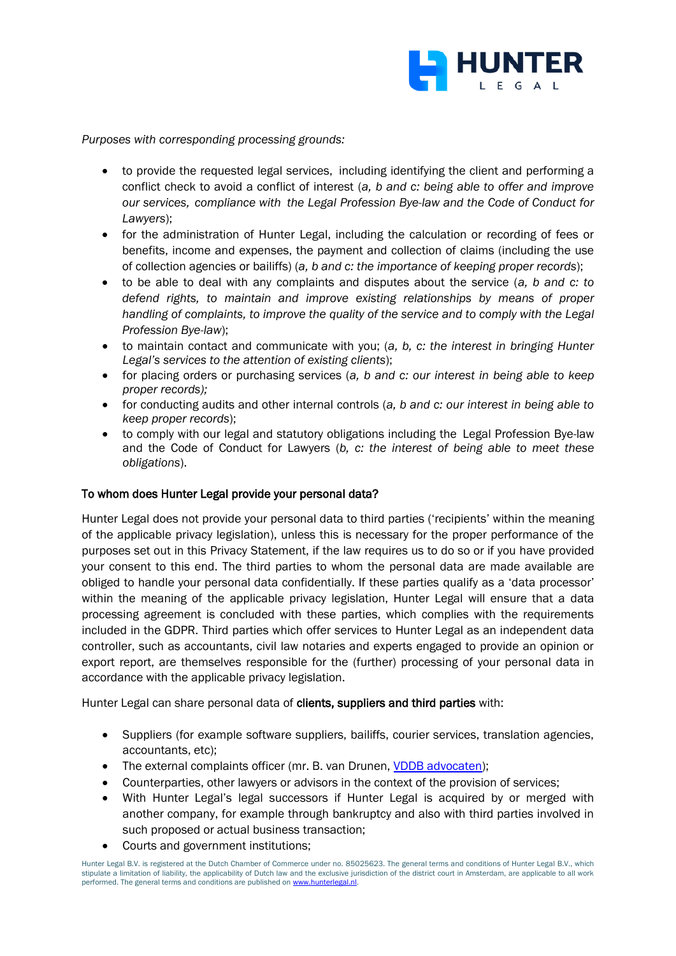

*Purposes with corresponding processing grounds:* 

- to provide the requested legal services, including identifying the client and performing a conflict check to avoid a conflict of interest (*a, b and c: being able to offer and improve our services, compliance with the Legal Profession Bye-law and the Code of Conduct for Lawyers*);
- for the administration of Hunter Legal, including the calculation or recording of fees or benefits, income and expenses, the payment and collection of claims (including the use of collection agencies or bailiffs) (*a, b and c: the importance of keeping proper records*);
- to be able to deal with any complaints and disputes about the service (*a, b and c: to defend rights, to maintain and improve existing relationships by means of proper handling of complaints, to improve the quality of the service and to comply with the Legal Profession Bye-law*);
- to maintain contact and communicate with you; (*a, b, c: the interest in bringing Hunter Legal's services to the attention of existing clients*);
- for placing orders or purchasing services (*a, b and c: our interest in being able to keep proper records);*
- for conducting audits and other internal controls (*a, b and c: our interest in being able to keep proper records*);
- to comply with our legal and statutory obligations including the Legal Profession Bye-law and the Code of Conduct for Lawyers (*b, c: the interest of being able to meet these obligations*).

#### To whom does Hunter Legal provide your personal data?

Hunter Legal does not provide your personal data to third parties ('recipients' within the meaning of the applicable privacy legislation), unless this is necessary for the proper performance of the purposes set out in this Privacy Statement, if the law requires us to do so or if you have provided your consent to this end. The third parties to whom the personal data are made available are obliged to handle your personal data confidentially. If these parties qualify as a 'data processor' within the meaning of the applicable privacy legislation, Hunter Legal will ensure that a data processing agreement is concluded with these parties, which complies with the requirements included in the GDPR. Third parties which offer services to Hunter Legal as an independent data controller, such as accountants, civil law notaries and experts engaged to provide an opinion or export report, are themselves responsible for the (further) processing of your personal data in accordance with the applicable privacy legislation.

Hunter Legal can share personal data of clients, suppliers and third parties with:

- Suppliers (for example software suppliers, bailiffs, courier services, translation agencies, accountants, etc);
- The external complaints officer (mr. B. van Drunen, [VDDB advocaten\)](https://vddb.nl/);
- Counterparties, other lawyers or advisors in the context of the provision of services;
- With Hunter Legal's legal successors if Hunter Legal is acquired by or merged with another company, for example through bankruptcy and also with third parties involved in such proposed or actual business transaction;
- Courts and government institutions;

Hunter Legal B.V. is registered at the Dutch Chamber of Commerce under no. 85025623. The general terms and conditions of Hunter Legal B.V., which stipulate a limitation of liability, the applicability of Dutch law and the exclusive jurisdiction of the district court in Amsterdam, are applicable to all work performed. The general terms and conditions are published on www.hunterlegal.nl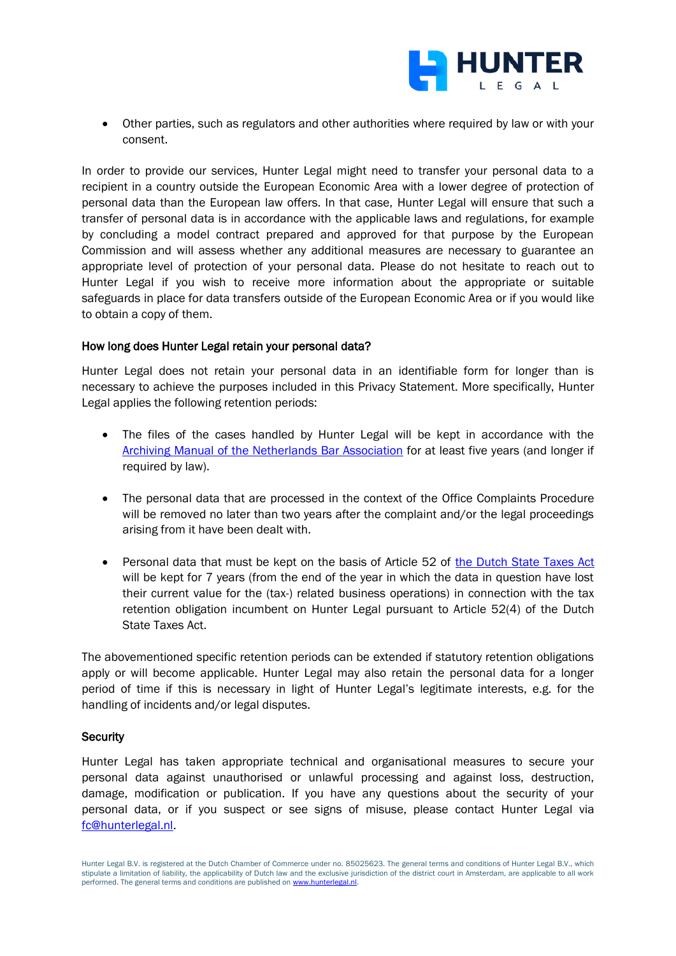

• Other parties, such as regulators and other authorities where required by law or with your consent.

In order to provide our services, Hunter Legal might need to transfer your personal data to a recipient in a country outside the European Economic Area with a lower degree of protection of personal data than the European law offers. In that case, Hunter Legal will ensure that such a transfer of personal data is in accordance with the applicable laws and regulations, for example by concluding a model contract prepared and approved for that purpose by the European Commission and will assess whether any additional measures are necessary to guarantee an appropriate level of protection of your personal data. Please do not hesitate to reach out to Hunter Legal if you wish to receive more information about the appropriate or suitable safeguards in place for data transfers outside of the European Economic Area or if you would like to obtain a copy of them.

#### How long does Hunter Legal retain your personal data?

Hunter Legal does not retain your personal data in an identifiable form for longer than is necessary to achieve the purposes included in this Privacy Statement. More specifically, Hunter Legal applies the following retention periods:

- The files of the cases handled by Hunter Legal will be kept in accordance with the Archiving [Manual of the Netherlands Bar Association](https://www.advocatenorde.nl/voor-uw-praktijk/modellen-handleidingen-formulieren/archiveringhttps:/www.advocatenorde.nl/voor-uw-praktijk/modellen-handleidingen-formulieren/archiveringhttps:/www.advocatenorde.nl/voor-uw-praktijk/modellen-handleidingen-formulieren/archiveringhttps:/www.advocatenorde.nl/voor-uw-praktijk/modellen-handleidingen-formulieren/archivering) for at least five years (and longer if required by law).
- The personal data that are processed in the context of the Office Complaints Procedure will be removed no later than two years after the complaint and/or the legal proceedings arising from it have been dealt with.
- Personal data that must be kept on the basis of Article 52 of the Dutch [State Taxes](https://wetten.overheid.nl/BWBR0002320/2020-01-01) Act will be kept for 7 years (from the end of the year in which the data in question have lost their current value for the (tax-) related business operations) in connection with the tax retention obligation incumbent on Hunter Legal pursuant to Article 52(4) of the Dutch State Taxes Act.

The abovementioned specific retention periods can be extended if statutory retention obligations apply or will become applicable. Hunter Legal may also retain the personal data for a longer period of time if this is necessary in light of Hunter Legal's legitimate interests, e.g. for the handling of incidents and/or legal disputes.

#### **Security**

Hunter Legal has taken appropriate technical and organisational measures to secure your personal data against unauthorised or unlawful processing and against loss, destruction, damage, modification or publication. If you have any questions about the security of your personal data, or if you suspect or see signs of misuse, please contact Hunter Legal via [fc@hunterlegal.nl.](mailto:fc@hunterlegal.nl)

Hunter Legal B.V. is registered at the Dutch Chamber of Commerce under no. 85025623. The general terms and conditions of Hunter Legal B.V., which stipulate a limitation of liability, the applicability of Dutch law and the exclusive jurisdiction of the district court in Amsterdam, are applicable to all work performed. The general terms and conditions are published on www.hunterlegal.nl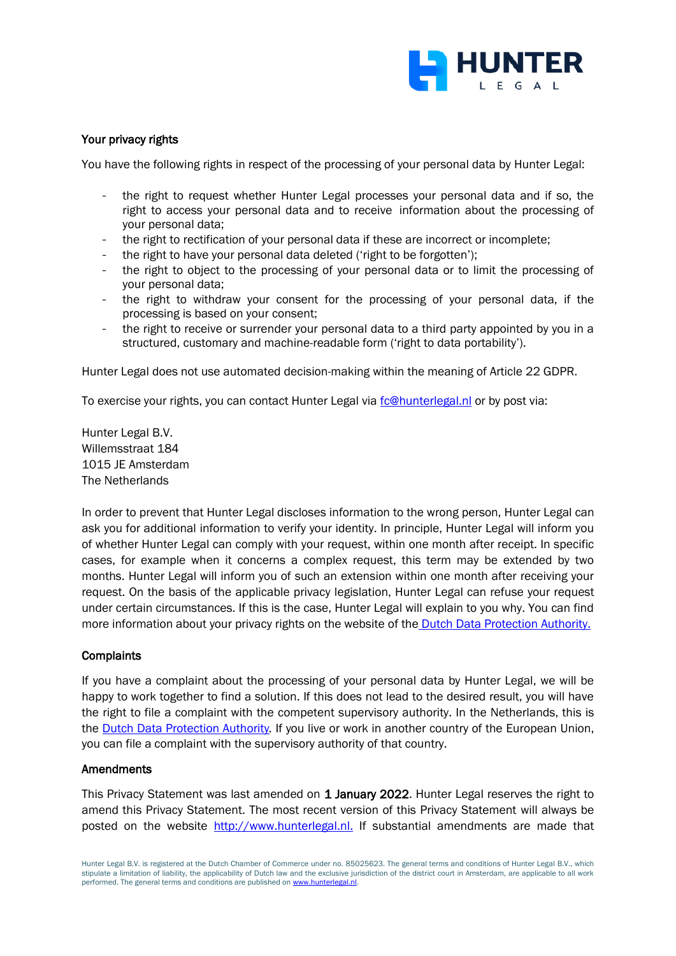

## Your privacy rights

You have the following rights in respect of the processing of your personal data by Hunter Legal:

- the right to request whether Hunter Legal processes your personal data and if so, the right to access your personal data and to receive information about the processing of your personal data;
- the right to rectification of your personal data if these are incorrect or incomplete;
- the right to have your personal data deleted ('right to be forgotten');
- the right to object to the processing of your personal data or to limit the processing of your personal data;
- the right to withdraw your consent for the processing of your personal data, if the processing is based on your consent;
- the right to receive or surrender your personal data to a third party appointed by you in a structured, customary and machine-readable form ('right to data portability').

Hunter Legal does not use automated decision-making within the meaning of Article 22 GDPR.

To exercise your rights, you can contact Hunter Legal via [fc@hunterlegal.nl](mailto:fc@hunterlegal.nl) or by post via:

Hunter Legal B.V. Willemsstraat 184 1015 JE Amsterdam The Netherlands

In order to prevent that Hunter Legal discloses information to the wrong person, Hunter Legal can ask you for additional information to verify your identity. In principle, Hunter Legal will inform you of whether Hunter Legal can comply with your request, within one month after receipt. In specific cases, for example when it concerns a complex request, this term may be extended by two months. Hunter Legal will inform you of such an extension within one month after receiving your request. On the basis of the applicable privacy legislation, Hunter Legal can refuse your request under certain circumstances. If this is the case, Hunter Legal will explain to you why. You can find more information about your privacy rights on the website of the [Dutch Data Protection Authority.](https://autoriteitpersoonsgegevens.nl/nl/zelf-doen/privacyrechten)

#### **Complaints**

If you have a complaint about the processing of your personal data by Hunter Legal, we will be happy to work together to find a solution. If this does not lead to the desired result, you will have the right to file a complaint with the competent supervisory authority. In the Netherlands, this is the [Dutch Data Protection Authority](https://autoriteitpersoonsgegevens.nl/nl/zelf-doen/gebruik-uw-privacyrechten/klacht-melden-bij-de-ap). If you live or work in another country of the European Union, you can file a complaint with the supervisory authority of that country.

#### **Amendments**

This Privacy Statement was last amended on 1 January 2022. Hunter Legal reserves the right to amend this Privacy Statement. The most recent version of this Privacy Statement will always be posted on the website [http://www.hunterlegal.nl.](http://www.hunterlegal.nl./) If substantial amendments are made that